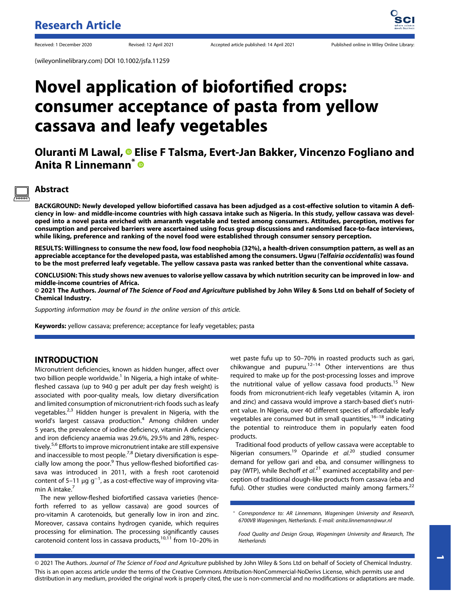(wileyonlinelibrary.com) DOI 10.1002/jsfa.11259

# Novel application of biofortified crops: consumer acceptance of pasta from yellow cassava and leafy vegetables

Oluranti M Lawal, <sup>®</sup> Elise F Talsma, Evert-Jan Bakker, Vincenzo Fogliano and Anita R Linnemann<sup>\*</sup>

# Abstract

BACKGROUND: Newly developed yellow biofortified cassava has been adjudged as a cost-effective solution to vitamin A deficiency in low- and middle-income countries with high cassava intake such as Nigeria. In this study, yellow cassava was developed into a novel pasta enriched with amaranth vegetable and tested among consumers. Attitudes, perception, motives for consumption and perceived barriers were ascertained using focus group discussions and randomised face-to-face interviews, while liking, preference and ranking of the novel food were established through consumer sensory perception.

RESULTS: Willingness to consume the new food, low food neophobia (32%), a health-driven consumption pattern, as well as an appreciable acceptance for the developed pasta, was established among the consumers. Ugwu (Telfairia occidentalis) was found to be the most preferred leafy vegetable. The yellow cassava pasta was ranked better than the conventional white cassava.

CONCLUSION: This study shows new avenues to valorise yellow cassava by which nutrition security can be improved in low- and middle-income countries of Africa.

© 2021 The Authors. Journal of The Science of Food and Agriculture published by John Wiley & Sons Ltd on behalf of Society of Chemical Industry.

Supporting information may be found in the online version of this article.

Keywords: yellow cassava; preference; acceptance for leafy vegetables; pasta

# INTRODUCTION

Micronutrient deficiencies, known as hidden hunger, affect over two billion people worldwide.<sup>1</sup> In Nigeria, a high intake of whitefleshed cassava (up to 940 g per adult per day fresh weight) is associated with poor-quality meals, low dietary diversification and limited consumption of micronutrient-rich foods such as leafy vegetables.<sup>2,3</sup> Hidden hunger is prevalent in Nigeria, with the world's largest cassava production.<sup>4</sup> Among children under 5 years, the prevalence of iodine deficiency, vitamin A deficiency and iron deficiency anaemia was 29.6%, 29.5% and 28%, respectively.<sup>5,6</sup> Efforts to improve micronutrient intake are still expensive and inaccessible to most people.<sup>7,8</sup> Dietary diversification is especially low among the poor.<sup>9</sup> Thus yellow-fleshed biofortified cassava was introduced in 2011, with a fresh root carotenoid content of 5–11  $\mu$ g g $^{-1}$ , as a cost-effective way of improving vitamin A intake. $<sup>7</sup>$ </sup>

The new yellow-fleshed biofortified cassava varieties (henceforth referred to as yellow cassava) are good sources of pro-vitamin A carotenoids, but generally low in iron and zinc. Moreover, cassava contains hydrogen cyanide, which requires processing for elimination. The processing significantly causes carotenoid content loss in cassava products,<sup>10,11</sup> from 10-20% in

wet paste fufu up to 50–70% in roasted products such as gari, chikwangue and pupuru. $12-14}$  Other interventions are thus required to make up for the post-processing losses and improve the nutritional value of yellow cassava food products.<sup>15</sup> New foods from micronutrient-rich leafy vegetables (vitamin A, iron and zinc) and cassava would improve a starch-based diet's nutrient value. In Nigeria, over 40 different species of affordable leafy vegetables are consumed but in small quantities,  $16-18$  indicating the potential to reintroduce them in popularly eaten food products.

Traditional food products of yellow cassava were acceptable to Nigerian consumers.<sup>19</sup> Oparinde et al.<sup>20</sup> studied consumer demand for yellow gari and eba, and consumer willingness to pay (WTP), while Bechoff et al.<sup>21</sup> examined acceptability and perception of traditional dough-like products from cassava (eba and fufu). Other studies were conducted mainly among farmers.<sup>22</sup>

\* Correspondence to: AR Linnemann, Wageningen University and Research, 6700VB Wageningen, Netherlands. E-mail: [anita.linnemann@wur.nl](mailto:anita.linnemann@wur.nl)

Food Quality and Design Group, Wageningen University and Research, The **Netherlands** 

© 2021 The Authors. Journal of The Science of Food and Agriculture published by John Wiley & Sons Ltd on behalf of Society of Chemical Industry. This is an open access article under the terms of the [Creative Commons Attribution-NonCommercial-NoDerivs](http://creativecommons.org/licenses/by-nc-nd/4.0/) License, which permits use and distribution in any medium, provided the original work is properly cited, the use is non-commercial and no modifications or adaptations are made.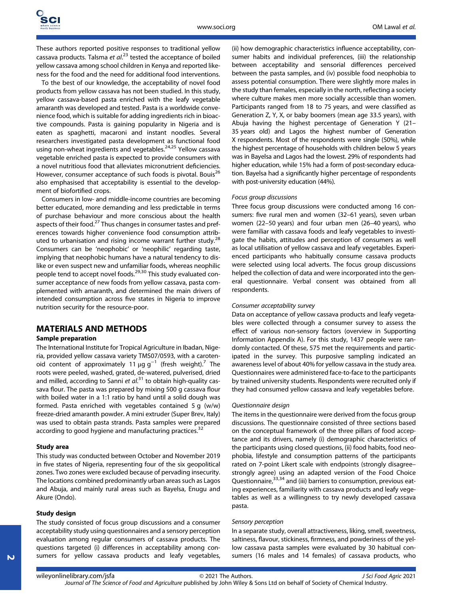These authors reported positive responses to traditional yellow cassava products. Talsma et al.<sup>23</sup> tested the acceptance of boiled yellow cassava among school children in Kenya and reported likeness for the food and the need for additional food interventions.

To the best of our knowledge, the acceptability of novel food products from yellow cassava has not been studied. In this study, yellow cassava-based pasta enriched with the leafy vegetable amaranth was developed and tested. Pasta is a worldwide convenience food, which is suitable for adding ingredients rich in bioactive compounds. Pasta is gaining popularity in Nigeria and is eaten as spaghetti, macaroni and instant noodles. Several researchers investigated pasta development as functional food using non-wheat ingredients and vegetables.<sup>24,25</sup> Yellow cassava vegetable enriched pasta is expected to provide consumers with a novel nutritious food that alleviates micronutrient deficiencies. However, consumer acceptance of such foods is pivotal. Bouis<sup>26</sup> also emphasised that acceptability is essential to the development of biofortified crops.

Consumers in low- and middle-income countries are becoming better educated, more demanding and less predictable in terms of purchase behaviour and more conscious about the health aspects of their food.<sup>27</sup> Thus changes in consumer tastes and preferences towards higher convenience food consumption attributed to urbanisation and rising income warrant further study.<sup>28</sup> Consumers can be 'neophobic' or 'neophilic' regarding taste, implying that neophobic humans have a natural tendency to dislike or even suspect new and unfamiliar foods, whereas neophilic people tend to accept novel foods.<sup>29,30</sup> This study evaluated consumer acceptance of new foods from yellow cassava, pasta complemented with amaranth, and determined the main drivers of intended consumption across five states in Nigeria to improve nutrition security for the resource-poor.

## MATERIALS AND METHODS

## Sample preparation

The International Institute for Tropical Agriculture in Ibadan, Nigeria, provided yellow cassava variety TMS07/0593, with a carotenoid content of approximately 11  $\mu$ g g<sup>-1</sup> (fresh weight).<sup>7</sup> The roots were peeled, washed, grated, de-watered, pulverised, dried and milled, according to Sanni et  $al^{31}$  to obtain high-quality cassava flour. The pasta was prepared by mixing 500 g cassava flour with boiled water in a 1:1 ratio by hand until a solid dough was formed. Pasta enriched with vegetables contained 5 g (w/w) freeze-dried amaranth powder. A mini extruder (Super Brev, Italy) was used to obtain pasta strands. Pasta samples were prepared according to good hygiene and manufacturing practices.<sup>32</sup>

#### Study area

This study was conducted between October and November 2019 in five states of Nigeria, representing four of the six geopolitical zones. Two zones were excluded because of pervading insecurity. The locations combined predominantly urban areas such as Lagos and Abuja, and mainly rural areas such as Bayelsa, Enugu and Akure (Ondo).

#### Study design

The study consisted of focus group discussions and a consumer acceptability study using questionnaires and a sensory perception evaluation among regular consumers of cassava products. The questions targeted (i) differences in acceptability among consumers for yellow cassava products and leafy vegetables, (ii) how demographic characteristics influence acceptability, consumer habits and individual preferences, (iii) the relationship between acceptability and sensorial differences perceived between the pasta samples, and (iv) possible food neophobia to assess potential consumption. There were slightly more males in the study than females, especially in the north, reflecting a society where culture makes men more socially accessible than women. Participants ranged from 18 to 75 years, and were classified as Generation Z, Y, X, or baby boomers (mean age 33.5 years), with Abuja having the highest percentage of Generation Y (21– 35 years old) and Lagos the highest number of Generation X respondents. Most of the respondents were single (50%), while the highest percentage of households with children below 5 years was in Bayelsa and Lagos had the lowest. 29% of respondents had higher education, while 15% had a form of post-secondary education. Bayelsa had a significantly higher percentage of respondents with post-university education (44%).

#### Focus group discussions

Three focus group discussions were conducted among 16 consumers: five rural men and women (32–61 years), seven urban women (22–50 years) and four urban men (26–40 years), who were familiar with cassava foods and leafy vegetables to investigate the habits, attitudes and perception of consumers as well as local utilisation of yellow cassava and leafy vegetables. Experienced participants who habitually consume cassava products were selected using local adverts. The focus group discussions helped the collection of data and were incorporated into the general questionnaire. Verbal consent was obtained from all respondents.

#### Consumer acceptability survey

Data on acceptance of yellow cassava products and leafy vegetables were collected through a consumer survey to assess the effect of various non-sensory factors (overview in Supporting Information Appendix A). For this study, 1437 people were randomly contacted. Of these, 575 met the requirements and participated in the survey. This purposive sampling indicated an awareness level of about 40% for yellow cassava in the study area. Questionnaires were administered face-to-face to the participants by trained university students. Respondents were recruited only if they had consumed yellow cassava and leafy vegetables before.

#### Questionnaire design

The items in the questionnaire were derived from the focus group discussions. The questionnaire consisted of three sections based on the conceptual framework of the three pillars of food acceptance and its drivers, namely (i) demographic characteristics of the participants using closed questions, (ii) food habits, food neophobia, lifestyle and consumption patterns of the participants rated on 7-point Likert scale with endpoints (strongly disagree– strongly agree) using an adapted version of the Food Choice Questionnaire,<sup>33,34</sup> and (iii) barriers to consumption, previous eating experiences, familiarity with cassava products and leafy vegetables as well as a willingness to try newly developed cassava pasta.

#### Sensory perception

In a separate study, overall attractiveness, liking, smell, sweetness, saltiness, flavour, stickiness, firmness, and powderiness of the yellow cassava pasta samples were evaluated by 30 habitual consumers (16 males and 14 females) of cassava products, who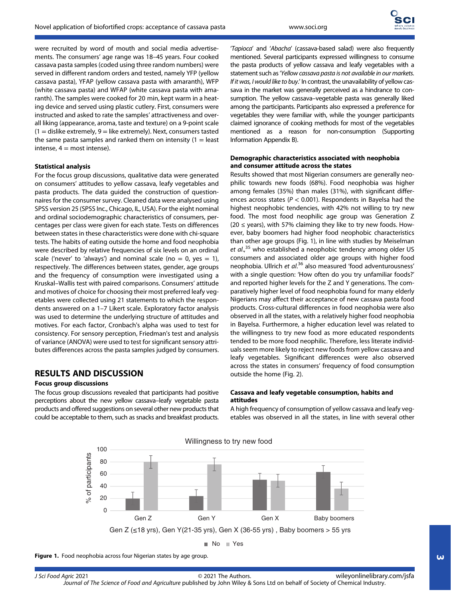were recruited by word of mouth and social media advertisements. The consumers' age range was 18–45 years. Four cooked cassava pasta samples (coded using three random numbers) were served in different random orders and tested, namely YFP (yellow cassava pasta), YFAP (yellow cassava pasta with amaranth), WFP (white cassava pasta) and WFAP (white cassava pasta with amaranth). The samples were cooked for 20 min, kept warm in a heating device and served using plastic cutlery. First, consumers were instructed and asked to rate the samples' attractiveness and overall liking (appearance, aroma, taste and texture) on a 9-point scale  $(1 =$  dislike extremely,  $9 =$  like extremely). Next, consumers tasted the same pasta samples and ranked them on intensity  $(1 =$  least intense,  $4 =$  most intense).

## Statistical analysis

For the focus group discussions, qualitative data were generated on consumers' attitudes to yellow cassava, leafy vegetables and pasta products. The data guided the construction of questionnaires for the consumer survey. Cleaned data were analysed using SPSS version 25 (SPSS Inc., Chicago, IL, USA). For the eight nominal and ordinal sociodemographic characteristics of consumers, percentages per class were given for each state. Tests on differences between states in these characteristics were done with chi-square tests. The habits of eating outside the home and food neophobia were described by relative frequencies of six levels on an ordinal scale ('never' to 'always') and nominal scale (no = 0, yes = 1), respectively. The differences between states, gender, age groups and the frequency of consumption were investigated using a Kruskal–Wallis test with paired comparisons. Consumers' attitude and motives of choice for choosing their most preferred leafy vegetables were collected using 21 statements to which the respondents answered on a 1–7 Likert scale. Exploratory factor analysis was used to determine the underlying structure of attitudes and motives. For each factor, Cronbach's alpha was used to test for consistency. For sensory perception, Friedman's test and analysis of variance (ANOVA) were used to test for significant sensory attributes differences across the pasta samples judged by consumers.

# RESULTS AND DISCUSSION

## Focus group discussions

The focus group discussions revealed that participants had positive perceptions about the new yellow cassava–leafy vegetable pasta products and offered suggestions on several other new products that could be acceptable to them, such as snacks and breakfast products. 'Tapioca' and 'Abacha' (cassava-based salad) were also frequently mentioned. Several participants expressed willingness to consume the pasta products of yellow cassava and leafy vegetables with a statement such as'Yellow cassava pasta is not available in our markets. If it was, I would like to buy.' In contrast, the unavailability of yellow cassava in the market was generally perceived as a hindrance to consumption. The yellow cassava–vegetable pasta was generally liked among the participants. Participants also expressed a preference for vegetables they were familiar with, while the younger participants claimed ignorance of cooking methods for most of the vegetables mentioned as a reason for non-consumption (Supporting Information Appendix B).

#### Demographic characteristics associated with neophobia and consumer attitude across the states

Results showed that most Nigerian consumers are generally neophilic towards new foods (68%). Food neophobia was higher among females (35%) than males (31%), with significant differences across states ( $P < 0.001$ ). Respondents in Bayelsa had the highest neophobic tendencies, with 42% not willing to try new food. The most food neophilic age group was Generation Z  $(20 \le$  years), with 57% claiming they like to try new foods. However, baby boomers had higher food neophobic characteristics than other age groups (Fig. 1), in line with studies by Meiselman et al.,<sup>35</sup> who established a neophobic tendency among older US consumers and associated older age groups with higher food neophobia. Ullrich et al.<sup>36</sup> also measured 'food adventurousness' with a single question: 'How often do you try unfamiliar foods?' and reported higher levels for the Z and Y generations. The comparatively higher level of food neophobia found for many elderly Nigerians may affect their acceptance of new cassava pasta food products. Cross-cultural differences in food neophobia were also observed in all the states, with a relatively higher food neophobia in Bayelsa. Furthermore, a higher education level was related to the willingness to try new food as more educated respondents tended to be more food neophilic. Therefore, less literate individuals seem more likely to reject new foods from yellow cassava and leafy vegetables. Significant differences were also observed across the states in consumers' frequency of food consumption outside the home (Fig. 2).

## Cassava and leafy vegetable consumption, habits and attitudes

A high frequency of consumption of yellow cassava and leafy vegetables was observed in all the states, in line with several other



Figure 1. Food neophobia across four Nigerian states by age group.

J Sci Food Agric 2021 © 2021 The Authors. Journal of The Science of Food and Agriculture published by John Wiley & Sons Ltd on behalf of Society of Chemical Industry. [wileyonlinelibrary.com/jsfa](http://wileyonlinelibrary.com/jsfa)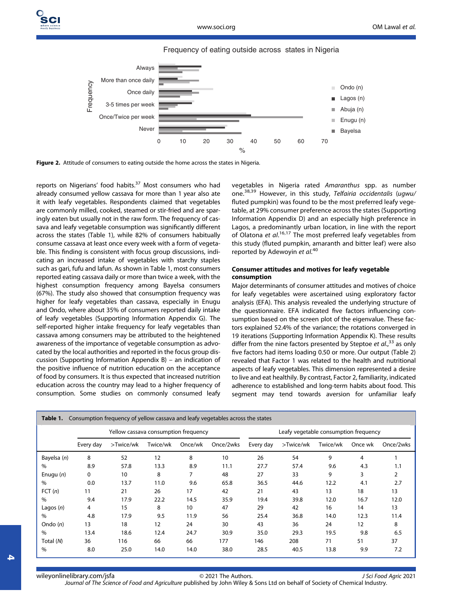



Figure 2. Attitude of consumers to eating outside the home across the states in Nigeria.

reports on Nigerians' food habits.<sup>37</sup> Most consumers who had already consumed yellow cassava for more than 1 year also ate it with leafy vegetables. Respondents claimed that vegetables are commonly milled, cooked, steamed or stir-fried and are sparingly eaten but usually not in the raw form. The frequency of cassava and leafy vegetable consumption was significantly different across the states (Table 1), while 82% of consumers habitually consume cassava at least once every week with a form of vegetable. This finding is consistent with focus group discussions, indicating an increased intake of vegetables with starchy staples such as gari, fufu and lafun. As shown in Table 1, most consumers reported eating cassava daily or more than twice a week, with the highest consumption frequency among Bayelsa consumers (67%). The study also showed that consumption frequency was higher for leafy vegetables than cassava, especially in Enugu and Ondo, where about 35% of consumers reported daily intake of leafy vegetables (Supporting Information Appendix G). The self-reported higher intake frequency for leafy vegetables than cassava among consumers may be attributed to the heightened awareness of the importance of vegetable consumption as advocated by the local authorities and reported in the focus group discussion (Supporting Information Appendix B) – an indication of the positive influence of nutrition education on the acceptance of food by consumers. It is thus expected that increased nutrition education across the country may lead to a higher frequency of consumption. Some studies on commonly consumed leafy vegetables in Nigeria rated Amaranthus spp. as number one.<sup>38,39</sup> However, in this study, Telfairia occidentalis (ugwu/ fluted pumpkin) was found to be the most preferred leafy vegetable, at 29% consumer preference across the states (Supporting Information Appendix D) and an especially high preference in Lagos, a predominantly urban location, in line with the report of Olatona et al.<sup>16,17</sup> The most preferred leafy vegetables from this study (fluted pumpkin, amaranth and bitter leaf) were also reported by Adewoyin et al.<sup>40</sup>

#### Consumer attitudes and motives for leafy vegetable consumption

Major determinants of consumer attitudes and motives of choice for leafy vegetables were ascertained using exploratory factor analysis (EFA). This analysis revealed the underlying structure of the questionnaire. EFA indicated five factors influencing consumption based on the screen plot of the eigenvalue. These factors explained 52.4% of the variance; the rotations converged in 19 iterations (Supporting Information Appendix K). These results differ from the nine factors presented by Steptoe et al.,<sup>33</sup> as only five factors had items loading 0.50 or more. Our output (Table 2) revealed that Factor 1 was related to the health and nutritional aspects of leafy vegetables. This dimension represented a desire to live and eat healthily. By contrast, Factor 2, familiarity, indicated adherence to established and long-term habits about food. This segment may tend towards aversion for unfamiliar leafy

|             | Yellow cassava consumption frequency |           |          |         |           | Leafy vegetable consumption frequency |           |          |         |           |
|-------------|--------------------------------------|-----------|----------|---------|-----------|---------------------------------------|-----------|----------|---------|-----------|
|             | Every day                            | >Twice/wk | Twice/wk | Once/wk | Once/2wks | Every day                             | >Twice/wk | Twice/wk | Once wk | Once/2wks |
| Bayelsa (n) | 8                                    | 52        | 12       | 8       | 10        | 26                                    | 54        | 9        | 4       |           |
| $\%$        | 8.9                                  | 57.8      | 13.3     | 8.9     | 11.1      | 27.7                                  | 57.4      | 9.6      | 4.3     | 1.1       |
| Enugu $(n)$ | 0                                    | 10        | 8        |         | 48        | 27                                    | 33        | 9        | 3       | 2         |
| $\%$        | 0.0                                  | 13.7      | 11.0     | 9.6     | 65.8      | 36.5                                  | 44.6      | 12.2     | 4.1     | 2.7       |
| FCT(n)      | 11                                   | 21        | 26       | 17      | 42        | 21                                    | 43        | 13       | 18      | 13        |
| $\%$        | 9.4                                  | 17.9      | 22.2     | 14.5    | 35.9      | 19.4                                  | 39.8      | 12.0     | 16.7    | 12.0      |
| Lagos $(n)$ | 4                                    | 15        | 8        | 10      | 47        | 29                                    | 42        | 16       | 14      | 13        |
| $\%$        | 4.8                                  | 17.9      | 9.5      | 11.9    | 56        | 25.4                                  | 36.8      | 14.0     | 12.3    | 11.4      |
| Ondo $(n)$  | 13                                   | 18        | 12       | 24      | 30        | 43                                    | 36        | 24       | 12      | 8         |
| $\%$        | 13.4                                 | 18.6      | 12.4     | 24.7    | 30.9      | 35.0                                  | 29.3      | 19.5     | 9.8     | 6.5       |
| Total (N)   | 36                                   | 116       | 66       | 66      | 177       | 146                                   | 208       | 71       | 51      | 37        |
| $\%$        | 8.0                                  | 25.0      | 14.0     | 14.0    | 38.0      | 28.5                                  | 40.5      | 13.8     | 9.9     | 7.2       |

[wileyonlinelibrary.com/jsfa](http://wileyonlinelibrary.com/jsfa) © 2021 The Authors. Journal of The Science of Food and Agriculture published by John Wiley & Sons Ltd on behalf of Society of Chemical Industry.

J Sci Food Agric 2021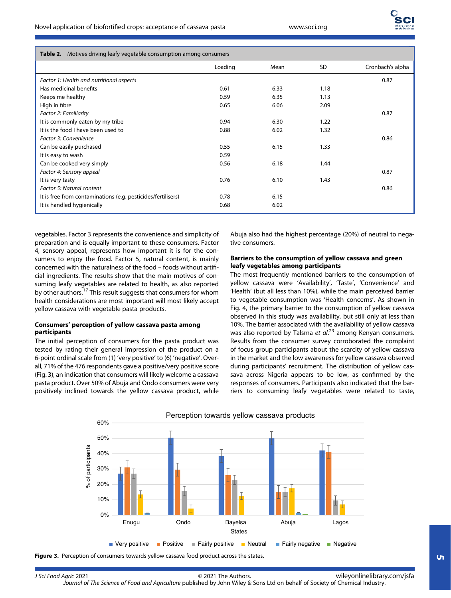| <b>Table 2.</b> Motives driving leafy vegetable consumption among consumers |
|-----------------------------------------------------------------------------|
|                                                                             |

|                                                              | Loading | Mean | SD.  | Cronbach's alpha |
|--------------------------------------------------------------|---------|------|------|------------------|
| Factor 1: Health and nutritional aspects                     |         |      |      | 0.87             |
| Has medicinal benefits                                       | 0.61    | 6.33 | 1.18 |                  |
| Keeps me healthy                                             | 0.59    | 6.35 | 1.13 |                  |
| High in fibre                                                | 0.65    | 6.06 | 2.09 |                  |
| Factor 2: Familiarity                                        |         |      |      | 0.87             |
| It is commonly eaten by my tribe                             | 0.94    | 6.30 | 1.22 |                  |
| It is the food I have been used to                           | 0.88    | 6.02 | 1.32 |                  |
| Factor 3: Convenience                                        |         |      |      | 0.86             |
| Can be easily purchased                                      | 0.55    | 6.15 | 1.33 |                  |
| It is easy to wash                                           | 0.59    |      |      |                  |
| Can be cooked very simply                                    | 0.56    | 6.18 | 1.44 |                  |
| Factor 4: Sensory appeal                                     |         |      |      | 0.87             |
| It is very tasty                                             | 0.76    | 6.10 | 1.43 |                  |
| Factor 5: Natural content                                    |         |      |      | 0.86             |
| It is free from contaminations (e.g. pesticides/fertilisers) | 0.78    | 6.15 |      |                  |
| It is handled hygienically                                   | 0.68    | 6.02 |      |                  |

vegetables. Factor 3 represents the convenience and simplicity of preparation and is equally important to these consumers. Factor 4, sensory appeal, represents how important it is for the consumers to enjoy the food. Factor 5, natural content, is mainly concerned with the naturalness of the food – foods without artificial ingredients. The results show that the main motives of consuming leafy vegetables are related to health, as also reported by other authors.<sup>17</sup> This result suggests that consumers for whom health considerations are most important will most likely accept yellow cassava with vegetable pasta products.

## Consumers' perception of yellow cassava pasta among participants

The initial perception of consumers for the pasta product was tested by rating their general impression of the product on a 6-point ordinal scale from (1) 'very positive' to (6) 'negative'. Overall, 71% of the 476 respondents gave a positive/very positive score (Fig. 3), an indication that consumers will likely welcome a cassava pasta product. Over 50% of Abuja and Ondo consumers were very positively inclined towards the yellow cassava product, while Abuja also had the highest percentage (20%) of neutral to negative consumers.

## Barriers to the consumption of yellow cassava and green leafy vegetables among participants

The most frequently mentioned barriers to the consumption of yellow cassava were 'Availability', 'Taste', 'Convenience' and 'Health' (but all less than 10%), while the main perceived barrier to vegetable consumption was 'Health concerns'. As shown in Fig. 4, the primary barrier to the consumption of yellow cassava observed in this study was availability, but still only at less than 10%. The barrier associated with the availability of yellow cassava was also reported by Talsma et al.<sup>23</sup> among Kenyan consumers. Results from the consumer survey corroborated the complaint of focus group participants about the scarcity of yellow cassava in the market and the low awareness for yellow cassava observed during participants' recruitment. The distribution of yellow cassava across Nigeria appears to be low, as confirmed by the responses of consumers. Participants also indicated that the barriers to consuming leafy vegetables were related to taste,



Figure 3. Perception of consumers towards yellow cassava food product across the states.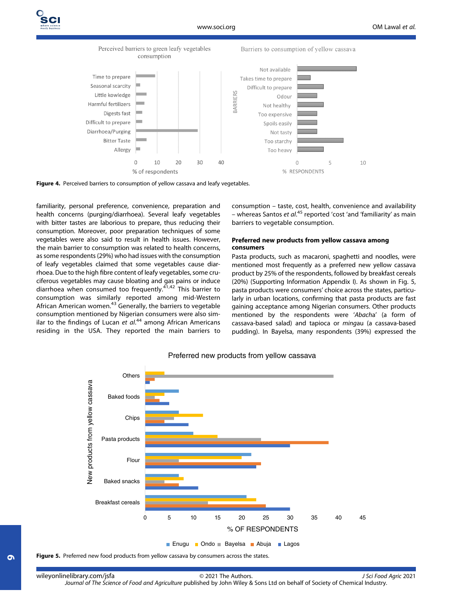#### Perceived barriers to green leafy vegetables consumption

Barriers to consumption of yellow cassava





familiarity, personal preference, convenience, preparation and health concerns (purging/diarrhoea). Several leafy vegetables with bitter tastes are laborious to prepare, thus reducing their consumption. Moreover, poor preparation techniques of some vegetables were also said to result in health issues. However, the main barrier to consumption was related to health concerns, as some respondents (29%) who had issues with the consumption of leafy vegetables claimed that some vegetables cause diarrhoea. Due to the high fibre content of leafy vegetables, some cruciferous vegetables may cause bloating and gas pains or induce diarrhoea when consumed too frequently.<sup>41,42</sup> This barrier to consumption was similarly reported among mid-Western African American women.<sup>43</sup> Generally, the barriers to vegetable consumption mentioned by Nigerian consumers were also similar to the findings of Lucan et al.<sup>44</sup> among African Americans residing in the USA. They reported the main barriers to

consumption – taste, cost, health, convenience and availability - whereas Santos et al.<sup>45</sup> reported 'cost 'and 'familiarity' as main barriers to vegetable consumption.

#### Preferred new products from yellow cassava among consumers

Pasta products, such as macaroni, spaghetti and noodles, were mentioned most frequently as a preferred new yellow cassava product by 25% of the respondents, followed by breakfast cereals (20%) (Supporting Information Appendix I). As shown in Fig. 5, pasta products were consumers' choice across the states, particularly in urban locations, confirming that pasta products are fast gaining acceptance among Nigerian consumers. Other products mentioned by the respondents were 'Abacha' (a form of cassava-based salad) and tapioca or mingau (a cassava-based pudding). In Bayelsa, many respondents (39%) expressed the



## Preferred new products from yellow cassava

Figure 5. Preferred new food products from yellow cassava by consumers across the states.

6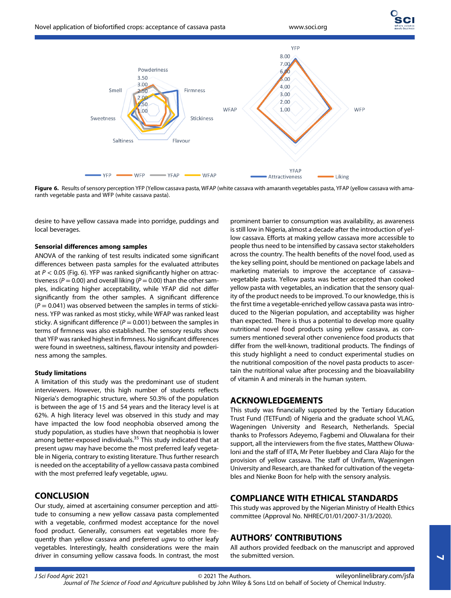

Figure 6. Results of sensory perception YFP (Yellow cassava pasta, WFAP (white cassava with amaranth vegetables pasta, YFAP (yellow cassava with amaranth vegetable pasta and WFP (white cassava pasta).

desire to have yellow cassava made into porridge, puddings and local beverages.

#### Sensorial differences among samples

ANOVA of the ranking of test results indicated some significant differences between pasta samples for the evaluated attributes at  $P < 0.05$  (Fig. 6). YFP was ranked significantly higher on attractiveness ( $P = 0.00$ ) and overall liking ( $P = 0.00$ ) than the other samples, indicating higher acceptability, while YFAP did not differ significantly from the other samples. A significant difference  $(P = 0.041)$  was observed between the samples in terms of stickiness. YFP was ranked as most sticky, while WFAP was ranked least sticky. A significant difference ( $P = 0.001$ ) between the samples in terms of firmness was also established. The sensory results show that YFP was ranked highest in firmness. No significant differences were found in sweetness, saltiness, flavour intensity and powderiness among the samples.

#### Study limitations

A limitation of this study was the predominant use of student interviewers. However, this high number of students reflects Nigeria's demographic structure, where 50.3% of the population is between the age of 15 and 54 years and the literacy level is at 62%. A high literacy level was observed in this study and may have impacted the low food neophobia observed among the study population, as studies have shown that neophobia is lower among better-exposed individuals.<sup>35</sup> This study indicated that at present ugwu may have become the most preferred leafy vegetable in Nigeria, contrary to existing literature. Thus further research is needed on the acceptability of a yellow cassava pasta combined with the most preferred leafy vegetable, ugwu.

## **CONCLUSION**

Our study, aimed at ascertaining consumer perception and attitude to consuming a new yellow cassava pasta complemented with a vegetable, confirmed modest acceptance for the novel food product. Generally, consumers eat vegetables more frequently than yellow cassava and preferred ugwu to other leafy vegetables. Interestingly, health considerations were the main driver in consuming yellow cassava foods. In contrast, the most

prominent barrier to consumption was availability, as awareness is still low in Nigeria, almost a decade after the introduction of yellow cassava. Efforts at making yellow cassava more accessible to people thus need to be intensified by cassava sector stakeholders across the country. The health benefits of the novel food, used as the key selling point, should be mentioned on package labels and marketing materials to improve the acceptance of cassava– vegetable pasta. Yellow pasta was better accepted than cooked yellow pasta with vegetables, an indication that the sensory quality of the product needs to be improved. To our knowledge, this is the first time a vegetable-enriched yellow cassava pasta was introduced to the Nigerian population, and acceptability was higher than expected. There is thus a potential to develop more quality nutritional novel food products using yellow cassava, as consumers mentioned several other convenience food products that differ from the well-known, traditional products. The findings of this study highlight a need to conduct experimental studies on the nutritional composition of the novel pasta products to ascertain the nutritional value after processing and the bioavailability of vitamin A and minerals in the human system.

## ACKNOWLEDGEMENTS

This study was financially supported by the Tertiary Education Trust Fund (TETFund) of Nigeria and the graduate school VLAG, Wageningen University and Research, Netherlands. Special thanks to Professors Adeyemo, Fagbemi and Oluwalana for their support, all the interviewers from the five states, Matthew Oluwaloni and the staff of IITA, Mr Peter Iluebbey and Clara Alajo for the provision of yellow cassava. The staff of Unifarm, Wageningen University and Research, are thanked for cultivation of the vegetables and Nienke Boon for help with the sensory analysis.

# COMPLIANCE WITH ETHICAL STANDARDS

This study was approved by the Nigerian Ministry of Health Ethics committee (Approval No. NHREC/01/01/2007-31/3/2020).

# AUTHORS' CONTRIBUTIONS

All authors provided feedback on the manuscript and approved the submitted version.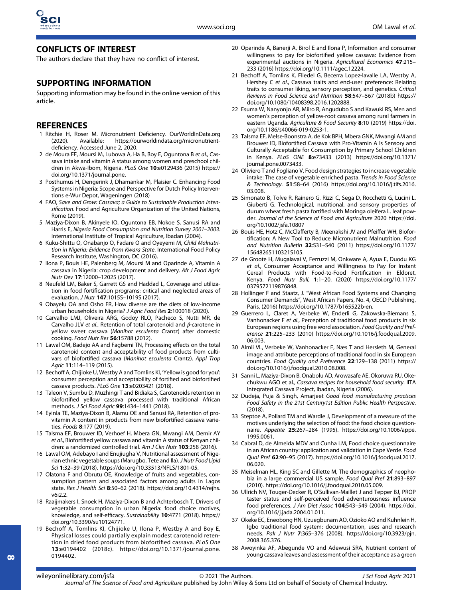# CONFLICTS OF INTEREST

The authors declare that they have no conflict of interest.

# SUPPORTING INFORMATION

Supporting information may be found in the online version of this article.

# **REFERENCES**

- 1 Ritchie H, Roser M. Micronutrient Deficiency. [OurWorldInData.org](http://ourworldindata.org) (2020). Available: [https://ourworldindata.org/micronutrient](https://ourworldindata.org/micronutrient-deficiency)defi[ciency.](https://ourworldindata.org/micronutrient-deficiency) Accessed June 2, 2020.
- 2 de Moura FF, Moursi M, Lubowa A, Ha B, Boy E, Oguntona B et al., Cassava intake and vitamin A status among women and preschool children in Akwa-Ibom, Nigeria. PLoS One 10:e0129436 (2015) [https://](https://doi.org/10.1371/journal.pone) [doi.org/10.1371/journal.pone.](https://doi.org/10.1371/journal.pone)
- 3 Posthumus H, Dengerink J, Dhamankar M, Plaisier C. Enhancing Food Systems in Nigeria: Scope and Perspective for Dutch Policy Interventions e-Wur Depot, Wageningen (2018)
- 4 FAO, Save and Grow: Cassava; a Guide to Sustainable Production Intensification. Food and Agriculture Organization of the United Nations, Rome (2019).
- 5 Maziya-Dixon B, Akinyele IO, Oguntona EB, Nokoe S, Sanusi RA and Harris E, Nigeria Food Consumption and Nutrition Survey 2001–2003. International Institute of Tropical Agriculture, Ibadan (2004).
- 6 Kuku-Shittu O, Onabanjo O, Fadare O and Oyeyemi M, Child Malnutrition in Nigeria: Evidence from Kwara State. International Food Policy Research Institute, Washington, DC (2016).
- 7 Ilona P, Bouis HE, Palenberg M, Moursi M and Oparinde A, Vitamin A cassava in Nigeria: crop development and delivery. Afr J Food Agric Nutr Dev 17:12000–12025 (2017).
- 8 Neufeld LM, Baker S, Garrett GS and Haddad L, Coverage and utilization in food fortification programs: critical and neglected areas of evaluation. J Nutr 147:1015S–1019S (2017).
- 9 Obayelu OA and Osho FR, How diverse are the diets of low-income urban households in Nigeria? J Agric Food Res 2:100018 (2020).
- 10 Carvalho LMJ, Oliveira ARG, Godoy RLO, Pacheco S, Nutti MR, de Carvalho JLV et al., Retention of total carotenoid and  $\beta$ -carotene in yellow sweet cassava (Manihot esculenta Crantz) after domestic cooking. Food Nutr Res 56:15788 (2012).
- 11 Lawal OM, Badejo AA and Fagbemi TN, Processing effects on the total carotenoid content and acceptability of food products from cultivars of biofortified cassava (Manihot esculenta Crantz). Appl Trop Agric 11:114-119 (2015).
- 12 Bechoff A, Chijioke U, Westby A and Tomlins KI, 'Yellow is good for you': consumer perception and acceptability of fortified and biofortified cassava products. PLoS One 13:e0203421 (2018).
- 13 Taleon V, Sumbu D, Muzhingi T and Bidiaka S, Carotenoids retention in biofortified yellow cassava processed with traditional African methods. J Sci Food Agric 99:1434–1441 (2018).
- 14 Eyinla TE, Maziya-Dixon B, Alamu OE and Sanusi RA, Retention of provitamin A content in products from new biofortified cassava varieties. Foods 8:177 (2019).
- 15 Talsma EF, Brouwer ID, Verhoef H, Mbera GN, Mwangi AM, Demir AY et al., Biofortified yellow cassava and vitamin A status of Kenyan children: a randomized controlled trial. Am J Clin Nutr 103:258 (2016).
- 16 Lawal OM, Adebayo I and Enujiugha V, Nutritional assessment of Nigerian ethnic vegetable soups (Marugbo, Tete and Ila). J Nutr Food Lipid Sci 1:32–39 (2018). [https://doi.org/10.33513/NFLS/1801-05.](https://doi.org/10.33513/NFLS/1801-05)
- 17 Olatona F and Obrutu OE, Knowledge of fruits and vegetables, consumption pattern and associated factors among adults in Lagos state. Res J Health Sci 8:50–62 (2018). [https://doi.org/10.4314/rejhs.](https://doi.org/10.4314/rejhs.v6i2.2) [v6i2.2](https://doi.org/10.4314/rejhs.v6i2.2).
- 18 Raaijmakers I, Snoek H, Maziya-Dixon B and Achterbosch T, Drivers of vegetable consumption in urban Nigeria: food choice motives, knowledge, and self-efficacy. Sustainability 10:4771 (2018). [https://](https://doi.org/10.3390/su10124771) [doi.org/10.3390/su10124771.](https://doi.org/10.3390/su10124771)
- 19 Bechoff A, Tomlins KI, Chijioke U, Ilona P, Westby A and Boy E, Physical losses could partially explain modest carotenoid retention in dried food products from biofortified cassava. PLoS One 13:e0194402 (2018c). [https://doi.org/10.1371/journal.pone.](https://doi.org/10.1371/journal.pone.0194402) [0194402](https://doi.org/10.1371/journal.pone.0194402).
- 20 Oparinde A, Banerji A, Birol E and Ilona P, Information and consumer willingness to pay for biofortified yellow cassava: Evidence from experimental auctions in Nigeria. Agricultural Economics 47:215– 233 (2016)<https://doi.org/10.1111/agec.12224>.
- 21 Bechoff A, Tomlins K, Fliedel G, Becerra Lopez-lavalle LA, Westby A, Hershey C et al., Cassava traits and end-user preference: Relating traits to consumer liking, sensory perception, and genetics. Critical Reviews in Food Science and Nutrition 58:547–567 (2018b) [https://](https://doi.org/10.1080/10408398.2016.1202888) [doi.org/10.1080/10408398.2016.1202888.](https://doi.org/10.1080/10408398.2016.1202888)
- 22 Esuma W, Nanyonjo AR, Miiro R, Angudubo S and Kawuki RS, Men and women's perception of yellow-root cassava among rural farmers in eastern Uganda. Agriculture & Food Security 8:10 (2019) [https://doi.](https://doi.org/10.1186/s40066-019-0253-1) [org/10.1186/s40066-019-0253-1](https://doi.org/10.1186/s40066-019-0253-1).
- 23 Talsma EF, Melse-Boonstra A, de Kok BPH, Mbera GNK, Mwangi AM and Brouwer ID, Biofortified Cassava with Pro-Vitamin A Is Sensory and Culturally Acceptable for Consumption by Primary School Children in Kenya. PLoS ONE 8:e73433 (2013) [https://doi.org/10.1371/](https://doi.org/10.1371/journal.pone.0073433) [journal.pone.0073433](https://doi.org/10.1371/journal.pone.0073433).
- 24 Oliviero T and Fogliano V, Food design strategies to increase vegetable intake: The case of vegetable enriched pasta. Trends in Food Science & Technology. 51:58–64 (2016) [https://doi.org/10.1016/j.tifs.2016.](https://doi.org/10.1016/j.tifs.2016.03.008) [03.008](https://doi.org/10.1016/j.tifs.2016.03.008).
- 25 Simonato B, Tolve R, Rainero G, Rizzi C, Sega D, Rocchetti G, Lucini L. Giuberti G. Technological, nutritional, and sensory properties of durum wheat fresh pasta fortified with Moringa oleifera L. leaf powder. Journal of the Science of Food and Agriculture 2020 [https://doi.](https://doi.org/10.1002/jsfa.10807) [org/10.1002/jsfa.10807](https://doi.org/10.1002/jsfa.10807)
- 26 Bouis HE, Hotz C, McClafferty B, Meenakshi JV and Pfeiffer WH, Biofortification: A New Tool to Reduce Micronutrient Malnutrition. Food and Nutrition Bulletin 32:S31–S40 (2011) [https://doi.org/10.1177/](https://doi.org/10.1177/15648265110321S105) [15648265110321S105](https://doi.org/10.1177/15648265110321S105).
- 27 de Groote H, Mugalavai V, Ferruzzi M, Onkware A, Ayua E, Duodu KG et al., Consumer Acceptance and Willingness to Pay for Instant Cereal Products with Food-to-Food Fortification in Eldoret, Kenya. Food Nutr Bull, 1:1–20. (2020) [https://doi.org/10.1177/](https://doi.org/10.1177/0379572119876848) [0379572119876848](https://doi.org/10.1177/0379572119876848).
- 28 Hollinger F and Staatz, J. "West African Food Systems and Changing Consumer Demands", West African Papers, No. 4, OECD Publishing, Paris, (2016) [https://doi.org/10.1787/b165522b-en.](https://doi.org/10.1787/b165522b-en)
- 29 Guerrero L, Claret A, Verbeke W, Enderli G, Zakowska-Biemans S, Vanhonacker F et al., Perception of traditional food products in six European regions using free word association. Food Quality and Preference 21:225–233 (2010) [https://doi.org/10.1016/j.foodqual.2009.](https://doi.org/10.1016/j.foodqual.2009.06.003) [06.003](https://doi.org/10.1016/j.foodqual.2009.06.003).
- 30 Almli VL, Verbeke W, Vanhonacker F, Næs T and Hersleth M, General image and attribute perceptions of traditional food in six European countries. Food Quality and Preference 22:129–138 (2011) [https://](https://doi.org/10.1016/j.foodqual.2010.08.008) [doi.org/10.1016/j.foodqual.2010.08.008.](https://doi.org/10.1016/j.foodqual.2010.08.008)
- 31 Sanni L, Maziya-Dixon B, Onabolu AD, Arowasafe AE. Okoruwa RU. Okechukwu AGO et al., Cassava recipes for household food security. IITA Integrated Cassava Project, Ibadan, Nigeria (2006).
- 32 Dudeja, Puja & Singh, Amarjeet Good food manufacturing practices Food Safety in the 21st Century1st Edition Public Health Perspective.  $(2018)$
- 33 Steptoe A, Pollard TM and Wardle J, Development of a measure of the motives underlying the selection of food: the food choice questionnaire. Appetite 25:267–284 (1995). [https://doi.org/10.1006/appe.](https://doi.org/10.1006/appe.1995.0061) [1995.0061](https://doi.org/10.1006/appe.1995.0061).
- 34 Cabral D, de Almeida MDV and Cunha LM, Food choice questionnaire in an African country: application and validation in Cape Verde. Food Qual Pref 62:90–95 (2017). [https://doi.org/10.1016/j.foodqual.2017.](https://doi.org/10.1016/j.foodqual.2017.06.020) [06.020](https://doi.org/10.1016/j.foodqual.2017.06.020).
- 35 Meiselman HL, King SC and Gillette M, The demographics of neophobia in a large commercial US sample. Food Qual Pref 21:893-897 (2010).<https://doi.org/10.1016/j.foodqual.2010.05.009>.
- 36 Ullrich NV, Touger-Decker R, O'Sullivan-Maillet J and Tepper BJ, PROP taster status and self-perceived food adventurousness influence food preferences. J Am Diet Assoc 104:543–549 (2004). [https://doi.](https://doi.org/10.1016/j.jada.2004.01.011) [org/10.1016/j.jada.2004.01.011.](https://doi.org/10.1016/j.jada.2004.01.011)
- 37 Okeke EC, Eneobong HN, Uzuegbunam AO, Ozioko AO and Kuhnlein H, Igbo traditional food system: documentation, uses and research needs. Pak J Nutr 7:365–376 (2008). [https://doi.org/10.3923/pjn.](https://doi.org/10.3923/pjn.2008.365.376) [2008.365.376](https://doi.org/10.3923/pjn.2008.365.376).
- 38 Awoyinka AF, Abegunde VO and Adewusi SRA, Nutrient content of young cassava leaves and assessment of their acceptance as a green

[wileyonlinelibrary.com/jsfa](http://wileyonlinelibrary.com/jsfa) © 2021 The Authors. Journal of The Science of Food and Agriculture published by John Wiley & Sons Ltd on behalf of Society of Chemical Industry.

J Sci Food Agric 2021